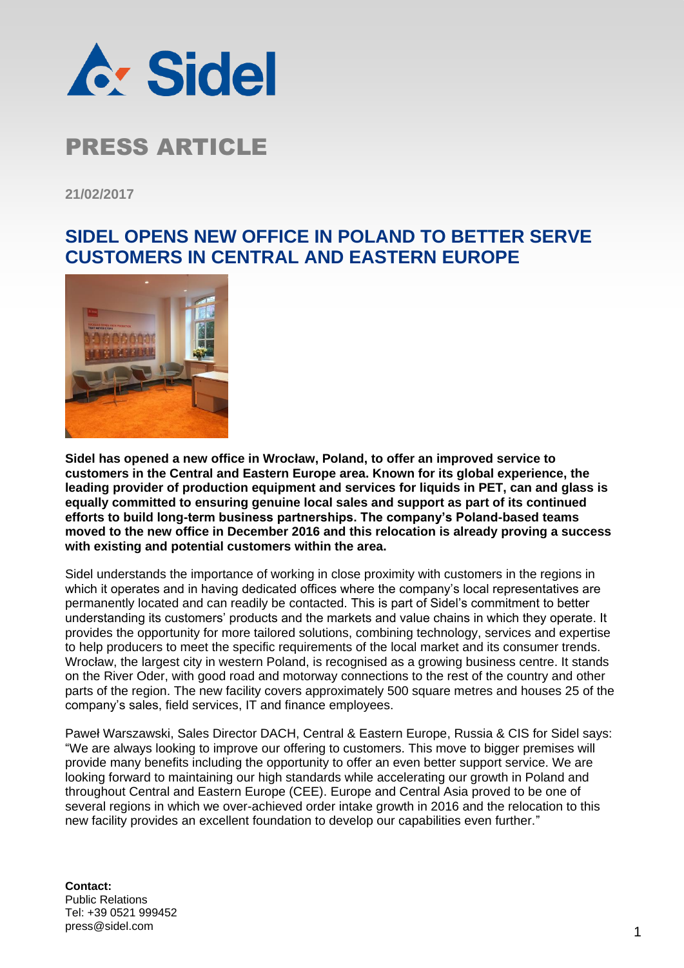

## PRESS ARTICLE

**21/02/2017**

## **SIDEL OPENS NEW OFFICE IN POLAND TO BETTER SERVE CUSTOMERS IN CENTRAL AND EASTERN EUROPE**



**Sidel has opened a new office in Wrocław, Poland, to offer an improved service to customers in the Central and Eastern Europe area. Known for its global experience, the leading provider of production equipment and services for liquids in PET, can and glass is equally committed to ensuring genuine local sales and support as part of its continued efforts to build long-term business partnerships. The company's Poland-based teams moved to the new office in December 2016 and this relocation is already proving a success with existing and potential customers within the area.**

Sidel understands the importance of working in close proximity with customers in the regions in which it operates and in having dedicated offices where the company's local representatives are permanently located and can readily be contacted. This is part of Sidel's commitment to better understanding its customers' products and the markets and value chains in which they operate. It provides the opportunity for more tailored solutions, combining technology, services and expertise to help producers to meet the specific requirements of the local market and its consumer trends. Wrocław, the largest city in western Poland, is recognised as a growing business centre. It stands on the River Oder, with good road and motorway connections to the rest of the country and other parts of the region. The new facility covers approximately 500 square metres and houses 25 of the company's sales, field services, IT and finance employees.

Paweł Warszawski, Sales Director DACH, Central & Eastern Europe, Russia & CIS for Sidel says: "We are always looking to improve our offering to customers. This move to bigger premises will provide many benefits including the opportunity to offer an even better support service. We are looking forward to maintaining our high standards while accelerating our growth in Poland and throughout Central and Eastern Europe (CEE). Europe and Central Asia proved to be one of several regions in which we over-achieved order intake growth in 2016 and the relocation to this new facility provides an excellent foundation to develop our capabilities even further."

**Contact:** Public Relations Tel: +39 0521 999452 press@sidel.com 2009 12 2009 12 2009 12 2009 12 2009 12 2009 12 2009 12 2009 12 2009 12 2009 12 2009 12 2009 1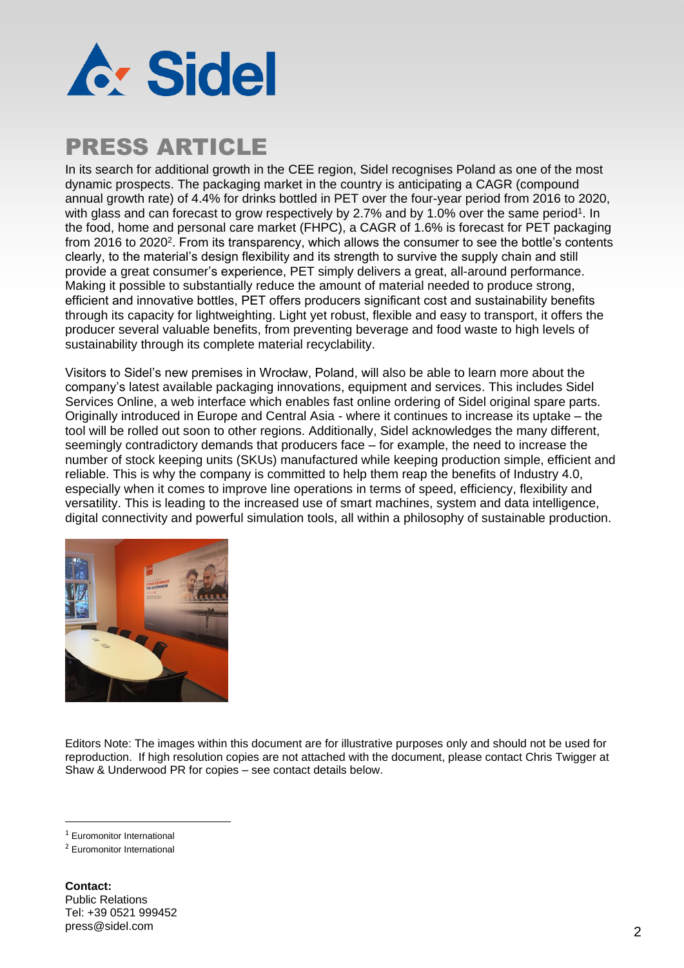

## PRESS ARTICLE

In its search for additional growth in the CEE region, Sidel recognises Poland as one of the most dynamic prospects. The packaging market in the country is anticipating a CAGR (compound annual growth rate) of 4.4% for drinks bottled in PET over the four-year period from 2016 to 2020, with glass and can forecast to grow respectively by 2.7% and by 1.0% over the same period<sup>1</sup>. In the food, home and personal care market (FHPC), a CAGR of 1.6% is forecast for PET packaging from 2016 to 2020<sup>2</sup>. From its transparency, which allows the consumer to see the bottle's contents clearly, to the material's design flexibility and its strength to survive the supply chain and still provide a great consumer's experience, PET simply delivers a great, all-around performance. Making it possible to substantially reduce the amount of material needed to produce strong, efficient and innovative bottles, PET offers producers significant cost and sustainability benefits through its capacity for lightweighting. Light yet robust, flexible and easy to transport, it offers the producer several valuable benefits, from preventing beverage and food waste to high levels of sustainability through its complete material recyclability.

Visitors to Sidel's new premises in Wrocław, Poland, will also be able to learn more about the company's latest available packaging innovations, equipment and services. This includes Sidel Services Online, a web interface which enables fast online ordering of Sidel original spare parts. Originally introduced in Europe and Central Asia - where it continues to increase its uptake – the tool will be rolled out soon to other regions. Additionally, Sidel acknowledges the many different, seemingly contradictory demands that producers face – for example, the need to increase the number of stock keeping units (SKUs) manufactured while keeping production simple, efficient and reliable. This is why the company is committed to help them reap the benefits of Industry 4.0, especially when it comes to improve line operations in terms of speed, efficiency, flexibility and versatility. This is leading to the increased use of smart machines, system and data intelligence, digital connectivity and powerful simulation tools, all within a philosophy of sustainable production.



Editors Note: The images within this document are for illustrative purposes only and should not be used for reproduction. If high resolution copies are not attached with the document, please contact Chris Twigger at Shaw & Underwood PR for copies – see contact details below.

 $\overline{a}$ 

**Contact:** Public Relations Tel: +39 0521 999452 press@sidel.com 2014 2014 2015 2022 2023 2024 2024 2022 2022 2024 2022 2024 2022 2024 2022 2024 2022 2022 2023

<sup>1</sup> Euromonitor International

<sup>2</sup> Euromonitor International